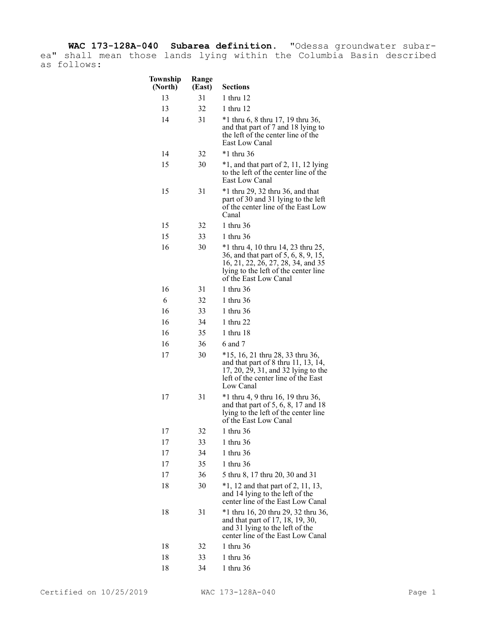**WAC 173-128A-040 Subarea definition.** "Odessa groundwater subarea" shall mean those lands lying within the Columbia Basin described as follows:

| Township<br>(North) | Range<br>(East) | <b>Sections</b>                                                                                                                                                                   |
|---------------------|-----------------|-----------------------------------------------------------------------------------------------------------------------------------------------------------------------------------|
| 13                  | 31              | 1 thru 12                                                                                                                                                                         |
| 13                  | 32              | 1 thru 12                                                                                                                                                                         |
| 14                  | 31              | *1 thru 6, 8 thru 17, 19 thru 36,<br>and that part of 7 and 18 lying to<br>the left of the center line of the<br>East Low Canal                                                   |
| 14                  | 32              | $*1$ thru 36                                                                                                                                                                      |
| 15                  | 30              | $*1$ , and that part of 2, 11, 12 lying<br>to the left of the center line of the<br>East Low Canal                                                                                |
| 15                  | 31              | $*1$ thru 29, 32 thru 36, and that<br>part of 30 and 31 lying to the left<br>of the center line of the East Low<br>Canal                                                          |
| 15                  | 32              | 1 thru 36                                                                                                                                                                         |
| 15                  | 33              | 1 thru 36                                                                                                                                                                         |
| 16                  | 30              | *1 thru 4, 10 thru 14, 23 thru 25,<br>36, and that part of 5, 6, 8, 9, 15,<br>16, 21, 22, 26, 27, 28, 34, and 35<br>lying to the left of the center line<br>of the East Low Canal |
| 16                  | 31              | 1 thru 36                                                                                                                                                                         |
| 6                   | 32              | 1 thru 36                                                                                                                                                                         |
| 16                  | 33              | 1 thru 36                                                                                                                                                                         |
| 16                  | 34              | 1 thru 22                                                                                                                                                                         |
| 16                  | 35              | 1 thru 18                                                                                                                                                                         |
| 16                  | 36              | 6 and 7                                                                                                                                                                           |
| 17                  | 30              | *15, 16, 21 thru 28, 33 thru 36,<br>and that part of 8 thru 11, 13, 14,<br>17, 20, 29, 31, and 32 lying to the<br>left of the center line of the East<br>Low Canal                |
| 17                  | 31              | *1 thru 4, 9 thru 16, 19 thru 36,<br>and that part of 5, 6, 8, 17 and 18<br>lying to the left of the center line<br>of the East Low Canal                                         |
| 17                  | 32              | 1 thru 36                                                                                                                                                                         |
| 17                  | 33              | 1 thru 36                                                                                                                                                                         |
| 17                  | 34              | 1 thru 36                                                                                                                                                                         |
| 17                  | 35              | 1 thru 36                                                                                                                                                                         |
| 17                  | 36              | 5 thru 8, 17 thru 20, 30 and 31                                                                                                                                                   |
| 18                  | 30              | $*1$ , 12 and that part of 2, 11, 13,<br>and 14 lying to the left of the<br>center line of the East Low Canal                                                                     |
| 18                  | 31              | *1 thru 16, 20 thru 29, 32 thru 36,<br>and that part of 17, 18, 19, 30,<br>and 31 lying to the left of the<br>center line of the East Low Canal                                   |
| 18                  | 32              | 1 thru 36                                                                                                                                                                         |
| 18                  | 33              | 1 thru 36                                                                                                                                                                         |
| 18                  | 34              | 1 thru 36                                                                                                                                                                         |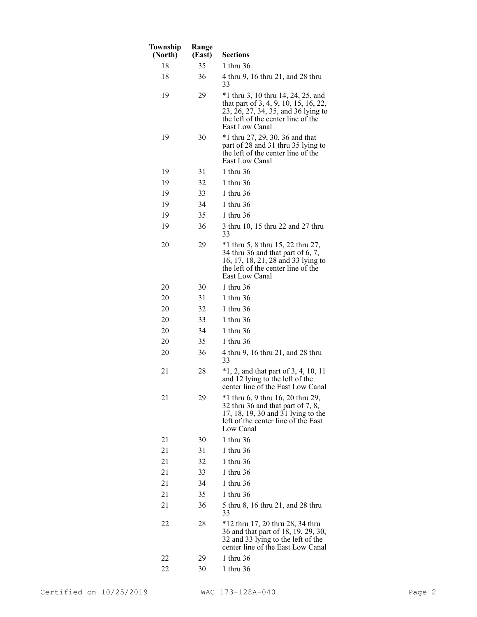| Township<br>(North) | Range<br>(East) | <b>Sections</b>                                                                                                                                                            |
|---------------------|-----------------|----------------------------------------------------------------------------------------------------------------------------------------------------------------------------|
| 18                  | 35              | 1 thru 36                                                                                                                                                                  |
| 18                  | 36              | 4 thru 9, 16 thru 21, and 28 thru<br>33                                                                                                                                    |
| 19                  | 29              | *1 thru 3, 10 thru 14, 24, 25, and<br>that part of 3, 4, 9, 10, 15, 16, 22,<br>23, 26, 27, 34, 35, and 36 lying to<br>the left of the center line of the<br>East Low Canal |
| 19                  | 30              | $*1$ thru 27, 29, 30, 36 and that<br>part of 28 and 31 thru 35 lying to<br>the left of the center line of the<br>East Low Canal                                            |
| 19                  | 31              | 1 thru 36                                                                                                                                                                  |
| 19                  | 32              | 1 thru 36                                                                                                                                                                  |
| 19                  | 33              | 1 thru 36                                                                                                                                                                  |
| 19                  | 34              | 1 thru 36                                                                                                                                                                  |
| 19                  | 35              | 1 thru 36                                                                                                                                                                  |
| 19                  | 36              | 3 thru 10, 15 thru 22 and 27 thru<br>33                                                                                                                                    |
| 20                  | 29              | *1 thru 5, 8 thru 15, 22 thru 27,<br>34 thru 36 and that part of 6, 7,<br>16, 17, 18, 21, 28 and 33 lying to<br>the left of the center line of the<br>East Low Canal       |
| 20                  | 30              | 1 thru 36                                                                                                                                                                  |
| 20                  | 31              | 1 thru 36                                                                                                                                                                  |
| 20                  | 32              | 1 thru 36                                                                                                                                                                  |
| 20                  | 33              | 1 thru 36                                                                                                                                                                  |
| 20                  | 34              | 1 thru 36                                                                                                                                                                  |
| 20                  | 35              | 1 thru 36                                                                                                                                                                  |
| 20                  | 36              | 4 thru 9, 16 thru 21, and 28 thru<br>33                                                                                                                                    |
| 21                  | 28              | $*1, 2$ , and that part of 3, 4, 10, 11<br>and 12 lying to the left of the<br>center line of the East Low Canal                                                            |
| 21                  | 29              | *1 thru 6, 9 thru 16, 20 thru 29,<br>32 thru 36 and that part of 7, 8,<br>17, 18, 19, 30 and 31 lying to the<br>left of the center line of the East<br>Low Canal           |
| 21                  | 30              | 1 thru 36                                                                                                                                                                  |
| 21                  | 31              | 1 thru 36                                                                                                                                                                  |
| 21                  | 32              | 1 thru 36                                                                                                                                                                  |
| 21                  | 33              | 1 thru 36                                                                                                                                                                  |
| 21                  | 34              | 1 thru 36                                                                                                                                                                  |
| 21                  | 35              | 1 thru 36                                                                                                                                                                  |
| 21                  | 36              | 5 thru 8, 16 thru 21, and 28 thru<br>33                                                                                                                                    |
| 22                  | 28              | *12 thru 17, 20 thru 28, 34 thru<br>36 and that part of 18, 19, 29, 30,<br>32 and 33 lying to the left of the<br>center line of the East Low Canal                         |
| 22                  | 29              | 1 thru 36                                                                                                                                                                  |
| 22                  | 30              | 1 thru 36                                                                                                                                                                  |